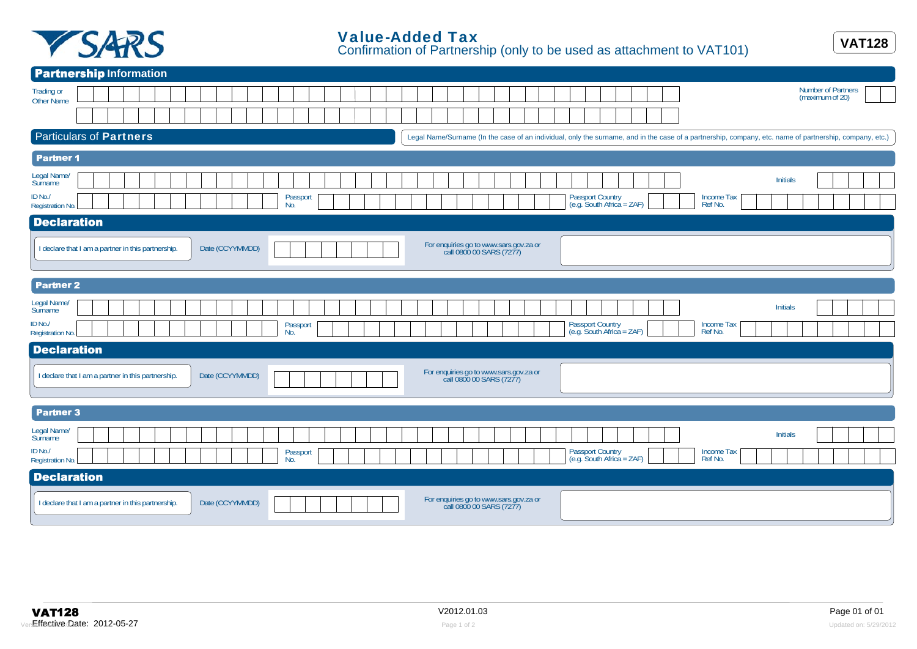

| <b>Partnership Information</b>                                                                                                                                                            |
|-------------------------------------------------------------------------------------------------------------------------------------------------------------------------------------------|
| Number of Partners<br>Trading or<br>(maximum of 20)<br>Other Name                                                                                                                         |
|                                                                                                                                                                                           |
| <b>Particulars of Partners</b><br>Legal Name/Surname (In the case of an individual, only the surname, and in the case of a partnership, company, etc. name of partnership, company, etc.) |
| <b>Partner 1</b>                                                                                                                                                                          |
| Legal Name/<br><b>Initials</b><br>Surname<br>ID No./<br>Passport Country<br>(e.g. South Africa = ZAF)<br>Passport<br>No.<br>Income Tax<br>Ref No.<br>Registration No.                     |
| <b>Declaration</b>                                                                                                                                                                        |
| For enquiries go to www.sars.gov.za or<br>call 0800 00 SARS (7277)<br>I declare that I am a partner in this partnership.<br>Date (CCYYMMDD)                                               |
| <b>Partner 2</b>                                                                                                                                                                          |
| Legal Name/<br>Initials<br>Surname<br>ID No./<br>Passport Country<br>(e.g. South Africa = ZAF)<br>Income Tax<br>Ref No.<br>Passport                                                       |
| No.<br>Registration No.                                                                                                                                                                   |
| <b>Declaration</b><br>For enquiries go to www.sars.gov.za or<br>call 0800 00 SARS (7277)<br>I declare that I am a partner in this partnership.<br>Date (CCYYMMDD)                         |
| <b>Partner 3</b>                                                                                                                                                                          |
| Legal Name/<br>Surname<br><b>Initials</b><br>ID No./<br>Passport Country<br>(e.g. South Africa = ZAF)<br>Passport<br>No.<br>Income Tax<br>Ref No.<br>Registration No.                     |
| <b>Declaration</b>                                                                                                                                                                        |
| For enquiries go to www.sars.gov.za or<br>call 0800 00 SARS (7277)<br>I declare that I am a partner in this partnership.<br>Date (CCYYMMDD)                                               |